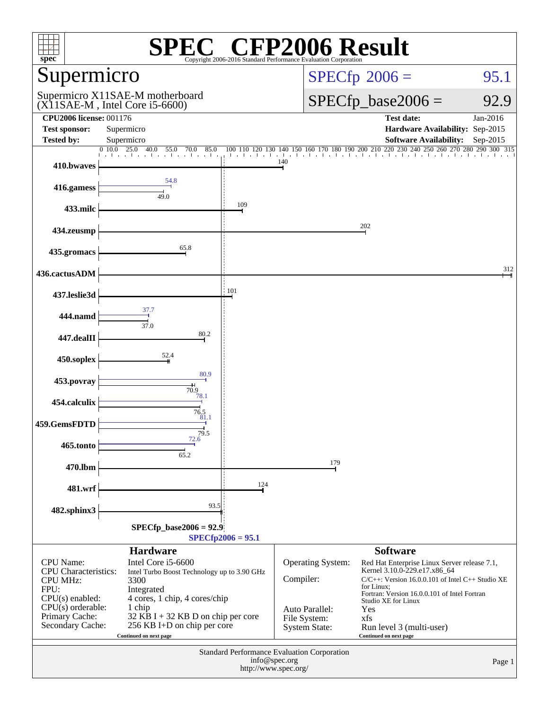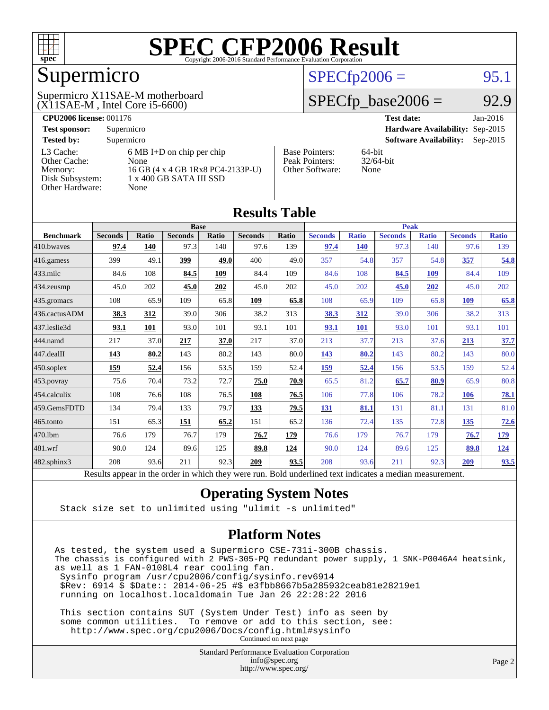

#### Supermicro

(X11SAE-M , Intel Core i5-6600) Supermicro X11SAE-M motherboard

#### $SPECTp2006 =$  95.1

#### $SPECfp\_base2006 = 92.9$

**[CPU2006 license:](http://www.spec.org/auto/cpu2006/Docs/result-fields.html#CPU2006license)** 001176 **[Test date:](http://www.spec.org/auto/cpu2006/Docs/result-fields.html#Testdate)** Jan-2016 **[Test sponsor:](http://www.spec.org/auto/cpu2006/Docs/result-fields.html#Testsponsor)** Supermicro **[Hardware Availability:](http://www.spec.org/auto/cpu2006/Docs/result-fields.html#HardwareAvailability)** Sep-2015 **[Tested by:](http://www.spec.org/auto/cpu2006/Docs/result-fields.html#Testedby)** Supermicro **Supermicro [Software Availability:](http://www.spec.org/auto/cpu2006/Docs/result-fields.html#SoftwareAvailability)** Sep-2015 [L3 Cache:](http://www.spec.org/auto/cpu2006/Docs/result-fields.html#L3Cache) 6 MB I+D on chip per chip<br>Other Cache: None [Other Cache:](http://www.spec.org/auto/cpu2006/Docs/result-fields.html#OtherCache) [Memory:](http://www.spec.org/auto/cpu2006/Docs/result-fields.html#Memory) 16 GB (4 x 4 GB 1Rx8 PC4-2133P-U) [Disk Subsystem:](http://www.spec.org/auto/cpu2006/Docs/result-fields.html#DiskSubsystem) 1 x 400 GB SATA III SSD [Other Hardware:](http://www.spec.org/auto/cpu2006/Docs/result-fields.html#OtherHardware) None [Base Pointers:](http://www.spec.org/auto/cpu2006/Docs/result-fields.html#BasePointers) 64-bit<br>Peak Pointers: 32/64-bit [Peak Pointers:](http://www.spec.org/auto/cpu2006/Docs/result-fields.html#PeakPointers) [Other Software:](http://www.spec.org/auto/cpu2006/Docs/result-fields.html#OtherSoftware) None

**[Results Table](http://www.spec.org/auto/cpu2006/Docs/result-fields.html#ResultsTable)**

| Results Table          |                                                                                                          |              |                |             |                |              |                |              |                |              |                |              |
|------------------------|----------------------------------------------------------------------------------------------------------|--------------|----------------|-------------|----------------|--------------|----------------|--------------|----------------|--------------|----------------|--------------|
|                        | <b>Base</b>                                                                                              |              |                |             |                |              | <b>Peak</b>    |              |                |              |                |              |
| <b>Benchmark</b>       | <b>Seconds</b>                                                                                           | <b>Ratio</b> | <b>Seconds</b> | Ratio       | <b>Seconds</b> | <b>Ratio</b> | <b>Seconds</b> | <b>Ratio</b> | <b>Seconds</b> | <b>Ratio</b> | <b>Seconds</b> | <b>Ratio</b> |
| 410.bwayes             | 97.4                                                                                                     | 140          | 97.3           | 140         | 97.6           | 139          | 97.4           | <b>140</b>   | 97.3           | 140          | 97.6           | 139          |
| $416$ .gamess          | 399                                                                                                      | 49.1         | 399            | <b>49.0</b> | 400            | 49.0         | 357            | 54.8         | 357            | 54.8         | 357            | 54.8         |
| $ 433$ .milc           | 84.6                                                                                                     | 108          | 84.5           | 109         | 84.4           | 109          | 84.6           | 108          | 84.5           | 109          | 84.4           | 109          |
| 434.zeusmp             | 45.0                                                                                                     | 202          | 45.0           | 202         | 45.0           | 202          | 45.0           | 202          | 45.0           | 202          | 45.0           | 202          |
| $435$ .gromacs         | 108                                                                                                      | 65.9         | 109            | 65.8        | 109            | 65.8         | 108            | 65.9         | 109            | 65.8         | 109            | 65.8         |
| 436.cactusADM          | 38.3                                                                                                     | 312          | 39.0           | 306         | 38.2           | 313          | 38.3           | 312          | 39.0           | 306          | 38.2           | 313          |
| 437.leslie3d           | 93.1                                                                                                     | 101          | 93.0           | 101         | 93.1           | 101          | 93.1           | 101          | 93.0           | 101          | 93.1           | 101          |
| 444.namd               | 217                                                                                                      | 37.0         | 217            | 37.0        | 217            | 37.0         | 213            | 37.7         | 213            | 37.6         | 213            | 37.7         |
| $ 447 \text{.}$ dealII | 143                                                                                                      | 80.2         | 143            | 80.2        | 143            | 80.0         | 143            | 80.2         | 143            | 80.2         | 143            | 80.0         |
| $ 450$ .soplex         | 159                                                                                                      | 52.4         | 156            | 53.5        | 159            | 52.4         | 159            | 52.4         | 156            | 53.5         | 159            | 52.4         |
| 453.povray             | 75.6                                                                                                     | 70.4         | 73.2           | 72.7        | 75.0           | 70.9         | 65.5           | 81.2         | 65.7           | 80.9         | 65.9           | 80.8         |
| $ 454$ .calculix       | 108                                                                                                      | 76.6         | 108            | 76.5        | 108            | 76.5         | 106            | 77.8         | 106            | 78.2         | 106            | <b>78.1</b>  |
| 459.GemsFDTD           | 134                                                                                                      | 79.4         | 133            | 79.7        | 133            | 79.5         | <b>131</b>     | 81.1         | 131            | 81.1         | 131            | 81.0         |
| 465.tonto              | 151                                                                                                      | 65.3         | <u>151</u>     | 65.2        | 151            | 65.2         | 136            | 72.4         | 135            | 72.8         | <u>135</u>     | 72.6         |
| 470.1bm                | 76.6                                                                                                     | 179          | 76.7           | 179         | 76.7           | 179          | 76.6           | 179          | 76.7           | 179          | 76.7           | <u>179</u>   |
| 481.wrf                | 90.0                                                                                                     | 124          | 89.6           | 125         | 89.8           | 124          | 90.0           | 124          | 89.6           | 125          | 89.8           | <u>124</u>   |
| 482.sphinx3            | 208                                                                                                      | 93.6         | 211            | 92.3        | 209            | 93.5         | 208            | 93.6         | 211            | 92.3         | 209            | 93.5         |
|                        | Results appear in the order in which they were run. Bold underlined text indicates a median measurement. |              |                |             |                |              |                |              |                |              |                |              |

#### **[Operating System Notes](http://www.spec.org/auto/cpu2006/Docs/result-fields.html#OperatingSystemNotes)**

Stack size set to unlimited using "ulimit -s unlimited"

#### **[Platform Notes](http://www.spec.org/auto/cpu2006/Docs/result-fields.html#PlatformNotes)**

As tested, the system used a Supermicro CSE-731i-300B chassis. The chassis is configured with 2 PWS-305-PQ redundant power supply, 1 SNK-P0046A4 heatsink, as well as 1 FAN-0108L4 rear cooling fan. Sysinfo program /usr/cpu2006/config/sysinfo.rev6914 \$Rev: 6914 \$ \$Date:: 2014-06-25 #\$ e3fbb8667b5a285932ceab81e28219e1 running on localhost.localdomain Tue Jan 26 22:28:22 2016 This section contains SUT (System Under Test) info as seen by

 some common utilities. To remove or add to this section, see: <http://www.spec.org/cpu2006/Docs/config.html#sysinfo> Continued on next page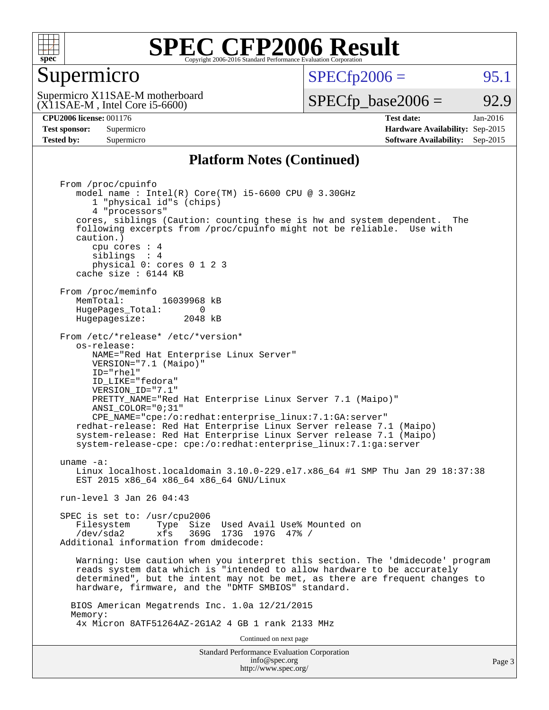

#### Supermicro

 $SPECTp2006 =$  95.1

(X11SAE-M , Intel Core i5-6600) Supermicro X11SAE-M motherboard

 $SPECTp\_base2006 = 92.9$ 

**[CPU2006 license:](http://www.spec.org/auto/cpu2006/Docs/result-fields.html#CPU2006license)** 001176 **[Test date:](http://www.spec.org/auto/cpu2006/Docs/result-fields.html#Testdate)** Jan-2016 **[Test sponsor:](http://www.spec.org/auto/cpu2006/Docs/result-fields.html#Testsponsor)** Supermicro **[Hardware Availability:](http://www.spec.org/auto/cpu2006/Docs/result-fields.html#HardwareAvailability)** Sep-2015 **[Tested by:](http://www.spec.org/auto/cpu2006/Docs/result-fields.html#Testedby)** Supermicro **Supermicro [Software Availability:](http://www.spec.org/auto/cpu2006/Docs/result-fields.html#SoftwareAvailability)** Sep-2015

#### **[Platform Notes \(Continued\)](http://www.spec.org/auto/cpu2006/Docs/result-fields.html#PlatformNotes)**

Standard Performance Evaluation Corporation [info@spec.org](mailto:info@spec.org) From /proc/cpuinfo model name : Intel(R) Core(TM) i5-6600 CPU @ 3.30GHz 1 "physical id"s (chips) 4 "processors" cores, siblings (Caution: counting these is hw and system dependent. The following excerpts from /proc/cpuinfo might not be reliable. Use with caution.) cpu cores : 4 siblings : 4 physical 0: cores 0 1 2 3 cache size : 6144 KB From /proc/meminfo MemTotal: 16039968 kB HugePages\_Total: 0<br>Hugepagesize: 2048 kB Hugepagesize: From /etc/\*release\* /etc/\*version\* os-release: NAME="Red Hat Enterprise Linux Server" VERSION="7.1 (Maipo)" ID="rhel" ID\_LIKE="fedora" VERSION\_ID="7.1" PRETTY\_NAME="Red Hat Enterprise Linux Server 7.1 (Maipo)" ANSI\_COLOR="0;31" CPE\_NAME="cpe:/o:redhat:enterprise\_linux:7.1:GA:server" redhat-release: Red Hat Enterprise Linux Server release 7.1 (Maipo) system-release: Red Hat Enterprise Linux Server release 7.1 (Maipo) system-release-cpe: cpe:/o:redhat:enterprise\_linux:7.1:ga:server uname -a: Linux localhost.localdomain 3.10.0-229.el7.x86\_64 #1 SMP Thu Jan 29 18:37:38 EST 2015 x86 64 x86 64 x86 64 GNU/Linux run-level 3 Jan 26 04:43 SPEC is set to: /usr/cpu2006 Filesystem Type Size Used Avail Use% Mounted on /dev/sda2 xfs 369G 173G 197G 47% / Additional information from dmidecode: Warning: Use caution when you interpret this section. The 'dmidecode' program reads system data which is "intended to allow hardware to be accurately determined", but the intent may not be met, as there are frequent changes to hardware, firmware, and the "DMTF SMBIOS" standard. BIOS American Megatrends Inc. 1.0a 12/21/2015 Memory: 4x Micron 8ATF51264AZ-2G1A2 4 GB 1 rank 2133 MHz Continued on next page

<http://www.spec.org/>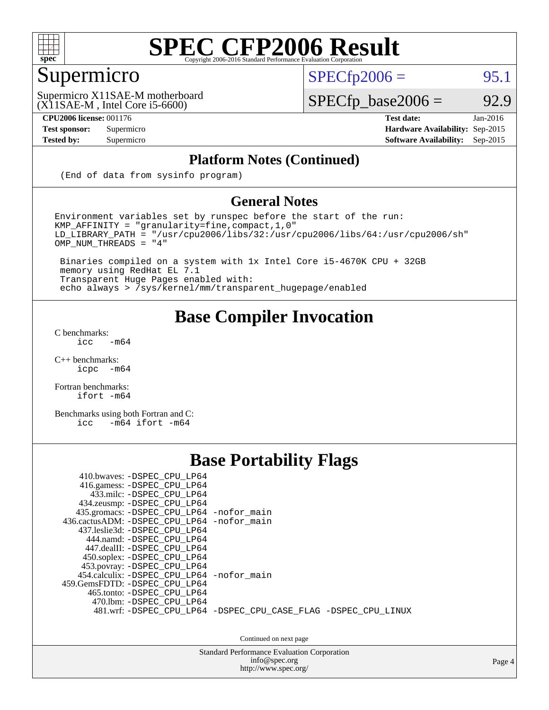

#### Supermicro

 $SPECTp2006 =$  95.1

(X11SAE-M , Intel Core i5-6600) Supermicro X11SAE-M motherboard

 $SPECfp\_base2006 = 92.9$ 

**[CPU2006 license:](http://www.spec.org/auto/cpu2006/Docs/result-fields.html#CPU2006license)** 001176 **[Test date:](http://www.spec.org/auto/cpu2006/Docs/result-fields.html#Testdate)** Jan-2016 **[Test sponsor:](http://www.spec.org/auto/cpu2006/Docs/result-fields.html#Testsponsor)** Supermicro **[Hardware Availability:](http://www.spec.org/auto/cpu2006/Docs/result-fields.html#HardwareAvailability)** Sep-2015 **[Tested by:](http://www.spec.org/auto/cpu2006/Docs/result-fields.html#Testedby)** Supermicro **[Software Availability:](http://www.spec.org/auto/cpu2006/Docs/result-fields.html#SoftwareAvailability)** Sep-2015

#### **[Platform Notes \(Continued\)](http://www.spec.org/auto/cpu2006/Docs/result-fields.html#PlatformNotes)**

(End of data from sysinfo program)

#### **[General Notes](http://www.spec.org/auto/cpu2006/Docs/result-fields.html#GeneralNotes)**

Environment variables set by runspec before the start of the run: KMP\_AFFINITY = "granularity=fine,compact,1,0"  $LD$ \_LIBRARY\_PATH = "/usr/cpu2006/libs/32:/usr/cpu2006/libs/64:/usr/cpu2006/sh"  $OMP_NUM_THREADS = "4"$ 

 Binaries compiled on a system with 1x Intel Core i5-4670K CPU + 32GB memory using RedHat EL 7.1 Transparent Huge Pages enabled with: echo always > /sys/kernel/mm/transparent\_hugepage/enabled

#### **[Base Compiler Invocation](http://www.spec.org/auto/cpu2006/Docs/result-fields.html#BaseCompilerInvocation)**

[C benchmarks](http://www.spec.org/auto/cpu2006/Docs/result-fields.html#Cbenchmarks):  $\text{icc}$  -m64

 $C++$  benchmarks:<br>icpc  $-m$ -m64

[Fortran benchmarks](http://www.spec.org/auto/cpu2006/Docs/result-fields.html#Fortranbenchmarks): [ifort -m64](http://www.spec.org/cpu2006/results/res2016q1/cpu2006-20160206-38971.flags.html#user_FCbase_intel_ifort_64bit_ee9d0fb25645d0210d97eb0527dcc06e)

[Benchmarks using both Fortran and C](http://www.spec.org/auto/cpu2006/Docs/result-fields.html#BenchmarksusingbothFortranandC): [icc -m64](http://www.spec.org/cpu2006/results/res2016q1/cpu2006-20160206-38971.flags.html#user_CC_FCbase_intel_icc_64bit_0b7121f5ab7cfabee23d88897260401c) [ifort -m64](http://www.spec.org/cpu2006/results/res2016q1/cpu2006-20160206-38971.flags.html#user_CC_FCbase_intel_ifort_64bit_ee9d0fb25645d0210d97eb0527dcc06e)

#### **[Base Portability Flags](http://www.spec.org/auto/cpu2006/Docs/result-fields.html#BasePortabilityFlags)**

| 410.bwaves: -DSPEC CPU LP64<br>416.gamess: -DSPEC_CPU_LP64<br>433.milc: -DSPEC CPU LP64<br>434.zeusmp: -DSPEC_CPU_LP64<br>435.gromacs: -DSPEC_CPU_LP64 -nofor_main<br>436.cactusADM: -DSPEC CPU LP64 -nofor main<br>437.leslie3d: -DSPEC CPU LP64<br>444.namd: -DSPEC CPU LP64<br>447.dealII: -DSPEC CPU LP64 |                                                                |
|---------------------------------------------------------------------------------------------------------------------------------------------------------------------------------------------------------------------------------------------------------------------------------------------------------------|----------------------------------------------------------------|
| 450.soplex: -DSPEC_CPU_LP64<br>453.povray: -DSPEC_CPU_LP64<br>454.calculix: -DSPEC CPU LP64 -nofor main<br>459.GemsFDTD: -DSPEC_CPU_LP64<br>465.tonto: - DSPEC CPU LP64<br>470.1bm: - DSPEC CPU LP64                                                                                                          | 481.wrf: -DSPEC CPU_LP64 -DSPEC_CPU_CASE_FLAG -DSPEC_CPU_LINUX |

Continued on next page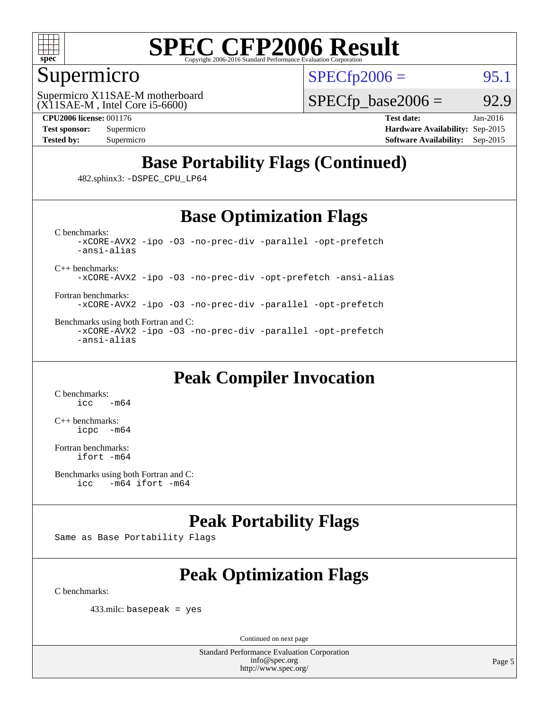

#### Supermicro

 $SPECTp2006 =$  95.1

(X11SAE-M , Intel Core i5-6600) Supermicro X11SAE-M motherboard  $SPECTp\_base2006 = 92.9$ 

**[CPU2006 license:](http://www.spec.org/auto/cpu2006/Docs/result-fields.html#CPU2006license)** 001176 **[Test date:](http://www.spec.org/auto/cpu2006/Docs/result-fields.html#Testdate)** Jan-2016 **[Test sponsor:](http://www.spec.org/auto/cpu2006/Docs/result-fields.html#Testsponsor)** Supermicro **[Hardware Availability:](http://www.spec.org/auto/cpu2006/Docs/result-fields.html#HardwareAvailability)** Sep-2015 **[Tested by:](http://www.spec.org/auto/cpu2006/Docs/result-fields.html#Testedby)** Supermicro **Supermicro [Software Availability:](http://www.spec.org/auto/cpu2006/Docs/result-fields.html#SoftwareAvailability)** Sep-2015

### **[Base Portability Flags \(Continued\)](http://www.spec.org/auto/cpu2006/Docs/result-fields.html#BasePortabilityFlags)**

482.sphinx3: [-DSPEC\\_CPU\\_LP64](http://www.spec.org/cpu2006/results/res2016q1/cpu2006-20160206-38971.flags.html#suite_basePORTABILITY482_sphinx3_DSPEC_CPU_LP64)

#### **[Base Optimization Flags](http://www.spec.org/auto/cpu2006/Docs/result-fields.html#BaseOptimizationFlags)**

[C benchmarks](http://www.spec.org/auto/cpu2006/Docs/result-fields.html#Cbenchmarks): [-xCORE-AVX2](http://www.spec.org/cpu2006/results/res2016q1/cpu2006-20160206-38971.flags.html#user_CCbase_f-xAVX2_5f5fc0cbe2c9f62c816d3e45806c70d7) [-ipo](http://www.spec.org/cpu2006/results/res2016q1/cpu2006-20160206-38971.flags.html#user_CCbase_f-ipo) [-O3](http://www.spec.org/cpu2006/results/res2016q1/cpu2006-20160206-38971.flags.html#user_CCbase_f-O3) [-no-prec-div](http://www.spec.org/cpu2006/results/res2016q1/cpu2006-20160206-38971.flags.html#user_CCbase_f-no-prec-div) [-parallel](http://www.spec.org/cpu2006/results/res2016q1/cpu2006-20160206-38971.flags.html#user_CCbase_f-parallel) [-opt-prefetch](http://www.spec.org/cpu2006/results/res2016q1/cpu2006-20160206-38971.flags.html#user_CCbase_f-opt-prefetch) [-ansi-alias](http://www.spec.org/cpu2006/results/res2016q1/cpu2006-20160206-38971.flags.html#user_CCbase_f-ansi-alias)

[C++ benchmarks:](http://www.spec.org/auto/cpu2006/Docs/result-fields.html#CXXbenchmarks)

[-xCORE-AVX2](http://www.spec.org/cpu2006/results/res2016q1/cpu2006-20160206-38971.flags.html#user_CXXbase_f-xAVX2_5f5fc0cbe2c9f62c816d3e45806c70d7) [-ipo](http://www.spec.org/cpu2006/results/res2016q1/cpu2006-20160206-38971.flags.html#user_CXXbase_f-ipo) [-O3](http://www.spec.org/cpu2006/results/res2016q1/cpu2006-20160206-38971.flags.html#user_CXXbase_f-O3) [-no-prec-div](http://www.spec.org/cpu2006/results/res2016q1/cpu2006-20160206-38971.flags.html#user_CXXbase_f-no-prec-div) [-opt-prefetch](http://www.spec.org/cpu2006/results/res2016q1/cpu2006-20160206-38971.flags.html#user_CXXbase_f-opt-prefetch) [-ansi-alias](http://www.spec.org/cpu2006/results/res2016q1/cpu2006-20160206-38971.flags.html#user_CXXbase_f-ansi-alias)

[Fortran benchmarks](http://www.spec.org/auto/cpu2006/Docs/result-fields.html#Fortranbenchmarks): [-xCORE-AVX2](http://www.spec.org/cpu2006/results/res2016q1/cpu2006-20160206-38971.flags.html#user_FCbase_f-xAVX2_5f5fc0cbe2c9f62c816d3e45806c70d7) [-ipo](http://www.spec.org/cpu2006/results/res2016q1/cpu2006-20160206-38971.flags.html#user_FCbase_f-ipo) [-O3](http://www.spec.org/cpu2006/results/res2016q1/cpu2006-20160206-38971.flags.html#user_FCbase_f-O3) [-no-prec-div](http://www.spec.org/cpu2006/results/res2016q1/cpu2006-20160206-38971.flags.html#user_FCbase_f-no-prec-div) [-parallel](http://www.spec.org/cpu2006/results/res2016q1/cpu2006-20160206-38971.flags.html#user_FCbase_f-parallel) [-opt-prefetch](http://www.spec.org/cpu2006/results/res2016q1/cpu2006-20160206-38971.flags.html#user_FCbase_f-opt-prefetch)

[Benchmarks using both Fortran and C](http://www.spec.org/auto/cpu2006/Docs/result-fields.html#BenchmarksusingbothFortranandC): [-xCORE-AVX2](http://www.spec.org/cpu2006/results/res2016q1/cpu2006-20160206-38971.flags.html#user_CC_FCbase_f-xAVX2_5f5fc0cbe2c9f62c816d3e45806c70d7) [-ipo](http://www.spec.org/cpu2006/results/res2016q1/cpu2006-20160206-38971.flags.html#user_CC_FCbase_f-ipo) [-O3](http://www.spec.org/cpu2006/results/res2016q1/cpu2006-20160206-38971.flags.html#user_CC_FCbase_f-O3) [-no-prec-div](http://www.spec.org/cpu2006/results/res2016q1/cpu2006-20160206-38971.flags.html#user_CC_FCbase_f-no-prec-div) [-parallel](http://www.spec.org/cpu2006/results/res2016q1/cpu2006-20160206-38971.flags.html#user_CC_FCbase_f-parallel) [-opt-prefetch](http://www.spec.org/cpu2006/results/res2016q1/cpu2006-20160206-38971.flags.html#user_CC_FCbase_f-opt-prefetch) [-ansi-alias](http://www.spec.org/cpu2006/results/res2016q1/cpu2006-20160206-38971.flags.html#user_CC_FCbase_f-ansi-alias)

### **[Peak Compiler Invocation](http://www.spec.org/auto/cpu2006/Docs/result-fields.html#PeakCompilerInvocation)**

[C benchmarks](http://www.spec.org/auto/cpu2006/Docs/result-fields.html#Cbenchmarks):  $-m64$ 

[C++ benchmarks:](http://www.spec.org/auto/cpu2006/Docs/result-fields.html#CXXbenchmarks) [icpc -m64](http://www.spec.org/cpu2006/results/res2016q1/cpu2006-20160206-38971.flags.html#user_CXXpeak_intel_icpc_64bit_bedb90c1146cab66620883ef4f41a67e)

[Fortran benchmarks](http://www.spec.org/auto/cpu2006/Docs/result-fields.html#Fortranbenchmarks): [ifort -m64](http://www.spec.org/cpu2006/results/res2016q1/cpu2006-20160206-38971.flags.html#user_FCpeak_intel_ifort_64bit_ee9d0fb25645d0210d97eb0527dcc06e)

#### **[Peak Portability Flags](http://www.spec.org/auto/cpu2006/Docs/result-fields.html#PeakPortabilityFlags)**

Same as Base Portability Flags

### **[Peak Optimization Flags](http://www.spec.org/auto/cpu2006/Docs/result-fields.html#PeakOptimizationFlags)**

[C benchmarks](http://www.spec.org/auto/cpu2006/Docs/result-fields.html#Cbenchmarks):

433.milc: basepeak = yes

Continued on next page

[Benchmarks using both Fortran and C](http://www.spec.org/auto/cpu2006/Docs/result-fields.html#BenchmarksusingbothFortranandC): [icc -m64](http://www.spec.org/cpu2006/results/res2016q1/cpu2006-20160206-38971.flags.html#user_CC_FCpeak_intel_icc_64bit_0b7121f5ab7cfabee23d88897260401c) [ifort -m64](http://www.spec.org/cpu2006/results/res2016q1/cpu2006-20160206-38971.flags.html#user_CC_FCpeak_intel_ifort_64bit_ee9d0fb25645d0210d97eb0527dcc06e)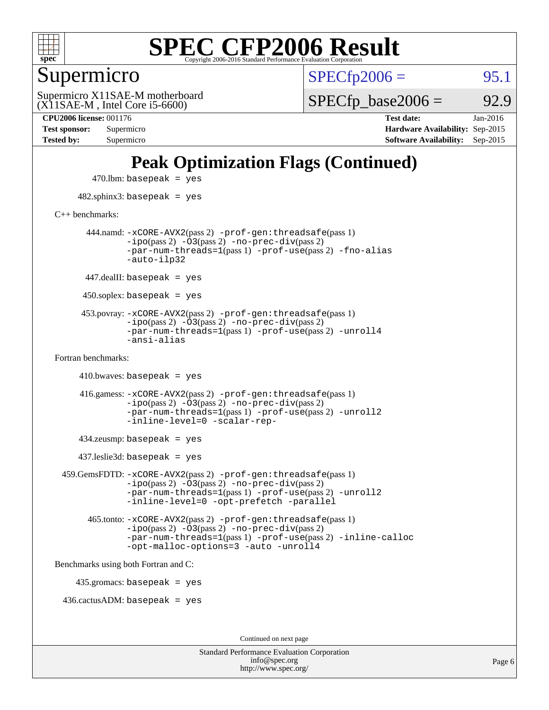

Supermicro

 $SPECTp2006 =$  95.1

(X11SAE-M , Intel Core i5-6600) Supermicro X11SAE-M motherboard  $SPECTp\_base2006 = 92.9$ 

**[CPU2006 license:](http://www.spec.org/auto/cpu2006/Docs/result-fields.html#CPU2006license)** 001176 **[Test date:](http://www.spec.org/auto/cpu2006/Docs/result-fields.html#Testdate)** Jan-2016 **[Test sponsor:](http://www.spec.org/auto/cpu2006/Docs/result-fields.html#Testsponsor)** Supermicro **[Hardware Availability:](http://www.spec.org/auto/cpu2006/Docs/result-fields.html#HardwareAvailability)** Sep-2015 **[Tested by:](http://www.spec.org/auto/cpu2006/Docs/result-fields.html#Testedby)** Supermicro **[Software Availability:](http://www.spec.org/auto/cpu2006/Docs/result-fields.html#SoftwareAvailability)** Sep-2015

### **[Peak Optimization Flags \(Continued\)](http://www.spec.org/auto/cpu2006/Docs/result-fields.html#PeakOptimizationFlags)**

 $470$ .lbm: basepeak = yes 482.sphinx3: basepeak = yes [C++ benchmarks:](http://www.spec.org/auto/cpu2006/Docs/result-fields.html#CXXbenchmarks) 444.namd: [-xCORE-AVX2](http://www.spec.org/cpu2006/results/res2016q1/cpu2006-20160206-38971.flags.html#user_peakPASS2_CXXFLAGSPASS2_LDFLAGS444_namd_f-xAVX2_5f5fc0cbe2c9f62c816d3e45806c70d7)(pass 2) [-prof-gen:threadsafe](http://www.spec.org/cpu2006/results/res2016q1/cpu2006-20160206-38971.flags.html#user_peakPASS1_CXXFLAGSPASS1_LDFLAGS444_namd_prof_gen_21a26eb79f378b550acd7bec9fe4467a)(pass 1)  $-i\text{po}(pass 2) -\overline{0}3(pass 2) -no-prec-div(pass 2)$  $-i\text{po}(pass 2) -\overline{0}3(pass 2) -no-prec-div(pass 2)$  $-i\text{po}(pass 2) -\overline{0}3(pass 2) -no-prec-div(pass 2)$ [-par-num-threads=1](http://www.spec.org/cpu2006/results/res2016q1/cpu2006-20160206-38971.flags.html#user_peakPASS1_CXXFLAGSPASS1_LDFLAGS444_namd_par_num_threads_786a6ff141b4e9e90432e998842df6c2)(pass 1) [-prof-use](http://www.spec.org/cpu2006/results/res2016q1/cpu2006-20160206-38971.flags.html#user_peakPASS2_CXXFLAGSPASS2_LDFLAGS444_namd_prof_use_bccf7792157ff70d64e32fe3e1250b55)(pass 2) [-fno-alias](http://www.spec.org/cpu2006/results/res2016q1/cpu2006-20160206-38971.flags.html#user_peakCXXOPTIMIZEOPTIMIZE444_namd_f-no-alias_694e77f6c5a51e658e82ccff53a9e63a) [-auto-ilp32](http://www.spec.org/cpu2006/results/res2016q1/cpu2006-20160206-38971.flags.html#user_peakCXXOPTIMIZE444_namd_f-auto-ilp32)  $447$ .dealII: basepeak = yes 450.soplex: basepeak = yes 453.povray: [-xCORE-AVX2](http://www.spec.org/cpu2006/results/res2016q1/cpu2006-20160206-38971.flags.html#user_peakPASS2_CXXFLAGSPASS2_LDFLAGS453_povray_f-xAVX2_5f5fc0cbe2c9f62c816d3e45806c70d7)(pass 2) [-prof-gen:threadsafe](http://www.spec.org/cpu2006/results/res2016q1/cpu2006-20160206-38971.flags.html#user_peakPASS1_CXXFLAGSPASS1_LDFLAGS453_povray_prof_gen_21a26eb79f378b550acd7bec9fe4467a)(pass 1)  $-ipo(pass 2)$  $-ipo(pass 2)$   $-03(pass 2)$   $-no-prec-div(pass 2)$  $-no-prec-div(pass 2)$ [-par-num-threads=1](http://www.spec.org/cpu2006/results/res2016q1/cpu2006-20160206-38971.flags.html#user_peakPASS1_CXXFLAGSPASS1_LDFLAGS453_povray_par_num_threads_786a6ff141b4e9e90432e998842df6c2)(pass 1) [-prof-use](http://www.spec.org/cpu2006/results/res2016q1/cpu2006-20160206-38971.flags.html#user_peakPASS2_CXXFLAGSPASS2_LDFLAGS453_povray_prof_use_bccf7792157ff70d64e32fe3e1250b55)(pass 2) [-unroll4](http://www.spec.org/cpu2006/results/res2016q1/cpu2006-20160206-38971.flags.html#user_peakCXXOPTIMIZE453_povray_f-unroll_4e5e4ed65b7fd20bdcd365bec371b81f) [-ansi-alias](http://www.spec.org/cpu2006/results/res2016q1/cpu2006-20160206-38971.flags.html#user_peakCXXOPTIMIZE453_povray_f-ansi-alias) [Fortran benchmarks](http://www.spec.org/auto/cpu2006/Docs/result-fields.html#Fortranbenchmarks):  $410.bwaves: basepeak = yes$  416.gamess: [-xCORE-AVX2](http://www.spec.org/cpu2006/results/res2016q1/cpu2006-20160206-38971.flags.html#user_peakPASS2_FFLAGSPASS2_LDFLAGS416_gamess_f-xAVX2_5f5fc0cbe2c9f62c816d3e45806c70d7)(pass 2) [-prof-gen:threadsafe](http://www.spec.org/cpu2006/results/res2016q1/cpu2006-20160206-38971.flags.html#user_peakPASS1_FFLAGSPASS1_LDFLAGS416_gamess_prof_gen_21a26eb79f378b550acd7bec9fe4467a)(pass 1)  $-i\text{po}(pass 2)$   $-\tilde{O}3(pass 2)$   $-no-prec-div(pass 2)$  $-no-prec-div(pass 2)$ [-par-num-threads=1](http://www.spec.org/cpu2006/results/res2016q1/cpu2006-20160206-38971.flags.html#user_peakPASS1_FFLAGSPASS1_LDFLAGS416_gamess_par_num_threads_786a6ff141b4e9e90432e998842df6c2)(pass 1) [-prof-use](http://www.spec.org/cpu2006/results/res2016q1/cpu2006-20160206-38971.flags.html#user_peakPASS2_FFLAGSPASS2_LDFLAGS416_gamess_prof_use_bccf7792157ff70d64e32fe3e1250b55)(pass 2) [-unroll2](http://www.spec.org/cpu2006/results/res2016q1/cpu2006-20160206-38971.flags.html#user_peakOPTIMIZE416_gamess_f-unroll_784dae83bebfb236979b41d2422d7ec2) [-inline-level=0](http://www.spec.org/cpu2006/results/res2016q1/cpu2006-20160206-38971.flags.html#user_peakOPTIMIZE416_gamess_f-inline-level_318d07a09274ad25e8d15dbfaa68ba50) [-scalar-rep-](http://www.spec.org/cpu2006/results/res2016q1/cpu2006-20160206-38971.flags.html#user_peakOPTIMIZE416_gamess_f-disablescalarrep_abbcad04450fb118e4809c81d83c8a1d) 434.zeusmp: basepeak = yes 437.leslie3d: basepeak = yes 459.GemsFDTD: [-xCORE-AVX2](http://www.spec.org/cpu2006/results/res2016q1/cpu2006-20160206-38971.flags.html#user_peakPASS2_FFLAGSPASS2_LDFLAGS459_GemsFDTD_f-xAVX2_5f5fc0cbe2c9f62c816d3e45806c70d7)(pass 2) [-prof-gen:threadsafe](http://www.spec.org/cpu2006/results/res2016q1/cpu2006-20160206-38971.flags.html#user_peakPASS1_FFLAGSPASS1_LDFLAGS459_GemsFDTD_prof_gen_21a26eb79f378b550acd7bec9fe4467a)(pass 1)  $-i\text{po}(pass 2) -\overline{0}3(pass 2) -no-prec-div(pass 2)$  $-i\text{po}(pass 2) -\overline{0}3(pass 2) -no-prec-div(pass 2)$  $-i\text{po}(pass 2) -\overline{0}3(pass 2) -no-prec-div(pass 2)$ [-par-num-threads=1](http://www.spec.org/cpu2006/results/res2016q1/cpu2006-20160206-38971.flags.html#user_peakPASS1_FFLAGSPASS1_LDFLAGS459_GemsFDTD_par_num_threads_786a6ff141b4e9e90432e998842df6c2)(pass 1) [-prof-use](http://www.spec.org/cpu2006/results/res2016q1/cpu2006-20160206-38971.flags.html#user_peakPASS2_FFLAGSPASS2_LDFLAGS459_GemsFDTD_prof_use_bccf7792157ff70d64e32fe3e1250b55)(pass 2) [-unroll2](http://www.spec.org/cpu2006/results/res2016q1/cpu2006-20160206-38971.flags.html#user_peakOPTIMIZE459_GemsFDTD_f-unroll_784dae83bebfb236979b41d2422d7ec2) [-inline-level=0](http://www.spec.org/cpu2006/results/res2016q1/cpu2006-20160206-38971.flags.html#user_peakOPTIMIZE459_GemsFDTD_f-inline-level_318d07a09274ad25e8d15dbfaa68ba50) [-opt-prefetch](http://www.spec.org/cpu2006/results/res2016q1/cpu2006-20160206-38971.flags.html#user_peakOPTIMIZE459_GemsFDTD_f-opt-prefetch) [-parallel](http://www.spec.org/cpu2006/results/res2016q1/cpu2006-20160206-38971.flags.html#user_peakOPTIMIZE459_GemsFDTD_f-parallel) 465.tonto: [-xCORE-AVX2](http://www.spec.org/cpu2006/results/res2016q1/cpu2006-20160206-38971.flags.html#user_peakPASS2_FFLAGSPASS2_LDFLAGS465_tonto_f-xAVX2_5f5fc0cbe2c9f62c816d3e45806c70d7)(pass 2) [-prof-gen:threadsafe](http://www.spec.org/cpu2006/results/res2016q1/cpu2006-20160206-38971.flags.html#user_peakPASS1_FFLAGSPASS1_LDFLAGS465_tonto_prof_gen_21a26eb79f378b550acd7bec9fe4467a)(pass 1)  $-i\text{po}(pass 2) -\overline{O}3(pass 2)$  [-no-prec-div](http://www.spec.org/cpu2006/results/res2016q1/cpu2006-20160206-38971.flags.html#user_peakPASS2_FFLAGSPASS2_LDFLAGS465_tonto_f-no-prec-div)(pass 2) [-par-num-threads=1](http://www.spec.org/cpu2006/results/res2016q1/cpu2006-20160206-38971.flags.html#user_peakPASS1_FFLAGSPASS1_LDFLAGS465_tonto_par_num_threads_786a6ff141b4e9e90432e998842df6c2)(pass 1) [-prof-use](http://www.spec.org/cpu2006/results/res2016q1/cpu2006-20160206-38971.flags.html#user_peakPASS2_FFLAGSPASS2_LDFLAGS465_tonto_prof_use_bccf7792157ff70d64e32fe3e1250b55)(pass 2) [-inline-calloc](http://www.spec.org/cpu2006/results/res2016q1/cpu2006-20160206-38971.flags.html#user_peakOPTIMIZE465_tonto_f-inline-calloc) [-opt-malloc-options=3](http://www.spec.org/cpu2006/results/res2016q1/cpu2006-20160206-38971.flags.html#user_peakOPTIMIZE465_tonto_f-opt-malloc-options_13ab9b803cf986b4ee62f0a5998c2238) [-auto](http://www.spec.org/cpu2006/results/res2016q1/cpu2006-20160206-38971.flags.html#user_peakOPTIMIZE465_tonto_f-auto) [-unroll4](http://www.spec.org/cpu2006/results/res2016q1/cpu2006-20160206-38971.flags.html#user_peakOPTIMIZE465_tonto_f-unroll_4e5e4ed65b7fd20bdcd365bec371b81f) [Benchmarks using both Fortran and C](http://www.spec.org/auto/cpu2006/Docs/result-fields.html#BenchmarksusingbothFortranandC): 435.gromacs: basepeak = yes 436.cactusADM: basepeak = yes Continued on next page